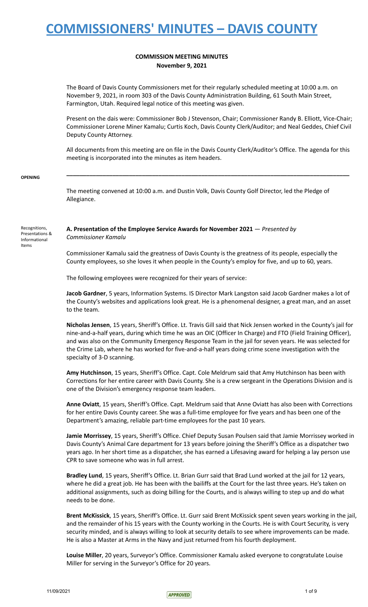# **COMMISSION MEETING MINUTES November 9, 2021**

The Board of Davis County Commissioners met for their regularly scheduled meeting at 10:00 a.m. on November 9, 2021, in room 303 of the Davis County Administration Building, 61 South Main Street, Farmington, Utah. Required legal notice of this meeting was given.

Present on the dais were: Commissioner Bob J Stevenson, Chair; Commissioner Randy B. Elliott, Vice-Chair; Commissioner Lorene Miner Kamalu; Curtis Koch, Davis County Clerk/Auditor; and Neal Geddes, Chief Civil Deputy County Attorney.

All documents from this meeting are on file in the Davis County Clerk/Auditor's Office. The agenda for this meeting is incorporated into the minutes as item headers.

**\_\_\_\_\_\_\_\_\_\_\_\_\_\_\_\_\_\_\_\_\_\_\_\_\_\_\_\_\_\_\_\_\_\_\_\_\_\_\_\_\_\_\_\_\_\_\_\_\_\_\_\_\_\_\_\_\_\_\_\_\_\_\_\_\_\_\_\_\_\_\_\_\_\_\_\_\_\_\_\_\_\_\_\_\_\_**

### **OPENING**

The meeting convened at 10:00 a.m. and Dustin Volk, Davis County Golf Director, led the Pledge of Allegiance.

Recognitions, Presentations & Informational Items

## **A. Presentation of the Employee Service Awards for November 2021** — *Presented by Commissioner Kamalu*

Commissioner Kamalu said the greatness of Davis County is the greatness of its people, especially the County employees, so she loves it when people in the County's employ for five, and up to 60, years.

The following employees were recognized for their years of service:

**Jacob Gardner**, 5 years, Information Systems. IS Director Mark Langston said Jacob Gardner makes a lot of the County's websites and applications look great. He is a phenomenal designer, a great man, and an asset to the team.

**Nicholas Jensen**, 15 years, Sheriff's Office. Lt. Travis Gill said that Nick Jensen worked in the County's jail for nine-and-a-half years, during which time he was an OIC (Officer In Charge) and FTO (Field Training Officer), and was also on the Community Emergency Response Team in the jail for seven years. He was selected for the Crime Lab, where he has worked for five-and-a-half years doing crime scene investigation with the specialty of 3-D scanning.

**Amy Hutchinson**, 15 years, Sheriff's Office. Capt. Cole Meldrum said that Amy Hutchinson has been with Corrections for her entire career with Davis County. She is a crew sergeant in the Operations Division and is one of the Division's emergency response team leaders.

**Anne Oviatt**, 15 years, Sheriff's Office. Capt. Meldrum said that Anne Oviatt has also been with Corrections for her entire Davis County career. She was a full-time employee for five years and has been one of the Department's amazing, reliable part-time employees for the past 10 years.

**Jamie Morrissey**, 15 years, Sheriff's Office. Chief Deputy Susan Poulsen said that Jamie Morrissey worked in Davis County's Animal Care department for 13 years before joining the Sheriff's Office as a dispatcher two years ago. In her short time as a dispatcher, she has earned a Lifesaving award for helping a lay person use CPR to save someone who was in full arrest.

**Bradley Lund**, 15 years, Sheriff's Office. Lt. Brian Gurr said that Brad Lund worked at the jail for 12 years, where he did a great job. He has been with the bailiffs at the Court for the last three years. He's taken on additional assignments, such as doing billing for the Courts, and is always willing to step up and do what needs to be done.

**Brent McKissick**, 15 years, Sheriff's Office. Lt. Gurr said Brent McKissick spent seven years working in the jail, and the remainder of his 15 years with the County working in the Courts. He is with Court Security, is very security minded, and is always willing to look at security details to see where improvements can be made. He is also a Master at Arms in the Navy and just returned from his fourth deployment.

**Louise Miller**, 20 years, Surveyor's Office. Commissioner Kamalu asked everyone to congratulate Louise Miller for serving in the Surveyor's Office for 20 years.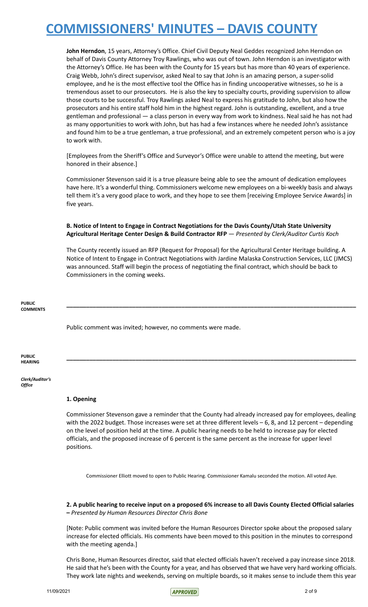**John Herndon**, 15 years, Attorney's Office. Chief Civil Deputy Neal Geddes recognized John Herndon on behalf of Davis County Attorney Troy Rawlings, who was out of town. John Herndon is an investigator with the Attorney's Office. He has been with the County for 15 years but has more than 40 years of experience. Craig Webb, John's direct supervisor, asked Neal to say that John is an amazing person, a super-solid employee, and he is the most effective tool the Office has in finding uncooperative witnesses, so he is a tremendous asset to our prosecutors. He is also the key to specialty courts, providing supervision to allow those courts to be successful. Troy Rawlings asked Neal to express his gratitude to John, but also how the prosecutors and his entire staff hold him in the highest regard. John is outstanding, excellent, and a true gentleman and professional — a class person in every way from work to kindness. Neal said he has not had as many opportunities to work with John, but has had a few instances where he needed John's assistance and found him to be a true gentleman, a true professional, and an extremely competent person who is a joy to work with.

[Employees from the Sheriff's Office and Surveyor's Office were unable to attend the meeting, but were honored in their absence.]

Commissioner Stevenson said it is a true pleasure being able to see the amount of dedication employees have here. It's a wonderful thing. Commissioners welcome new employees on a bi-weekly basis and always tell them it's a very good place to work, and they hope to see them [receiving Employee Service Awards] in five years.

## **B. Notice of Intent to Engage in Contract Negotiations for the Davis County/Utah State University Agricultural Heritage Center Design & Build Contractor RFP** — *Presented by Clerk/Auditor Curtis Koch*

The County recently issued an RFP (Request for Proposal) for the Agricultural Center Heritage building. A Notice of Intent to Engage in Contract Negotiations with Jardine Malaska Construction Services, LLC (JMCS) was announced. Staff will begin the process of negotiating the final contract, which should be back to Commissioners in the coming weeks.

**\_\_\_\_\_\_\_\_\_\_\_\_\_\_\_\_\_\_\_\_\_\_\_\_\_\_\_\_\_\_\_\_\_\_\_\_\_\_\_\_\_\_\_\_\_\_\_\_\_\_\_\_\_\_\_\_\_\_\_\_\_\_\_\_\_\_\_\_\_\_\_\_\_\_\_\_\_\_\_\_\_\_\_\_\_\_\_\_**

**\_\_\_\_\_\_\_\_\_\_\_\_\_\_\_\_\_\_\_\_\_\_\_\_\_\_\_\_\_\_\_\_\_\_\_\_\_\_\_\_\_\_\_\_\_\_\_\_\_\_\_\_\_\_\_\_\_\_\_\_\_\_\_\_\_\_\_\_\_\_\_\_\_\_\_\_\_\_\_\_\_\_\_\_\_\_\_\_**

**PUBLIC COMMENTS**

Public comment was invited; however, no comments were made.

**PUBLIC HEARING**

*Clerk/Auditor's Office*

# **1. Opening**

Commissioner Stevenson gave a reminder that the County had already increased pay for employees, dealing with the 2022 budget. Those increases were set at three different levels – 6, 8, and 12 percent – depending on the level of position held at the time. A public hearing needs to be held to increase pay for elected officials, and the proposed increase of 6 percent is the same percent as the increase for upper level positions.

Commissioner Elliott moved to open to Public Hearing. Commissioner Kamalu seconded the motion. All voted Aye.

2. A public hearing to receive input on a proposed 6% increase to all Davis County Elected Official salaries **–** *Presented by Human Resources Director Chris Bone*

[Note: Public comment was invited before the Human Resources Director spoke about the proposed salary increase for elected officials. His comments have been moved to this position in the minutes to correspond with the meeting agenda.]

Chris Bone, Human Resources director, said that elected officials haven't received a pay increase since 2018. He said that he's been with the County for a year, and has observed that we have very hard working officials. They work late nights and weekends, serving on multiple boards, so it makes sense to include them this year

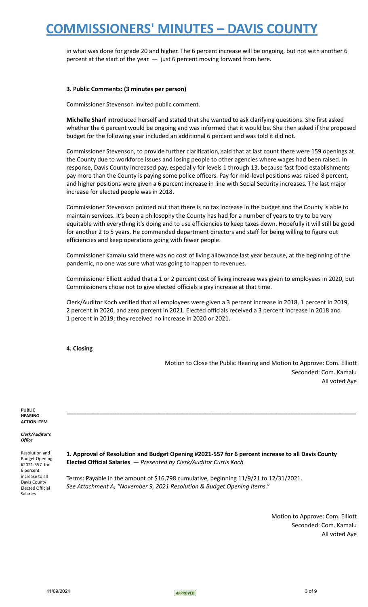in what was done for grade 20 and higher. The 6 percent increase will be ongoing, but not with another 6 percent at the start of the year  $-$  just 6 percent moving forward from here.

## **3. Public Comments: (3 minutes per person)**

Commissioner Stevenson invited public comment.

**Michelle Sharf** introduced herself and stated that she wanted to ask clarifying questions. She first asked whether the 6 percent would be ongoing and was informed that it would be. She then asked if the proposed budget for the following year included an additional 6 percent and was told it did not.

Commissioner Stevenson, to provide further clarification, said that at last count there were 159 openings at the County due to workforce issues and losing people to other agencies where wages had been raised. In response, Davis County increased pay, especially for levels 1 through 13, because fast food establishments pay more than the County is paying some police officers. Pay for mid-level positions was raised 8 percent, and higher positions were given a 6 percent increase in line with Social Security increases. The last major increase for elected people was in 2018.

Commissioner Stevenson pointed out that there is no tax increase in the budget and the County is able to maintain services. It's been a philosophy the County has had for a number of years to try to be very equitable with everything it's doing and to use efficiencies to keep taxes down. Hopefully it will still be good for another 2 to 5 years. He commended department directors and staff for being willing to figure out efficiencies and keep operations going with fewer people.

Commissioner Kamalu said there was no cost of living allowance last year because, at the beginning of the pandemic, no one was sure what was going to happen to revenues.

Commissioner Elliott added that a 1 or 2 percent cost of living increase was given to employees in 2020, but Commissioners chose not to give elected officials a pay increase at that time.

Clerk/Auditor Koch verified that all employees were given a 3 percent increase in 2018, 1 percent in 2019, 2 percent in 2020, and zero percent in 2021. Elected officials received a 3 percent increase in 2018 and 1 percent in 2019; they received no increase in 2020 or 2021.

## **4. Closing**

Motion to Close the Public Hearing and Motion to Approve: Com. Elliott Seconded: Com. Kamalu All voted Aye

**PUBLIC HEARING ACTION ITEM**

*Clerk/Auditor's Office*

Resolution and Budget Opening #2021-557 for 6 percent increase to all Davis County Elected Official Salaries

**1. Approval of Resolution and Budget Opening #2021-557 for 6 percent increase to all Davis County Elected Official Salaries** — *Presented by Clerk/Auditor Curtis Koch*

**\_\_\_\_\_\_\_\_\_\_\_\_\_\_\_\_\_\_\_\_\_\_\_\_\_\_\_\_\_\_\_\_\_\_\_\_\_\_\_\_\_\_\_\_\_\_\_\_\_\_\_\_\_\_\_\_\_\_\_\_\_\_\_\_\_\_\_\_\_\_\_\_\_\_\_\_\_\_\_\_\_\_\_\_\_\_\_\_**

Terms: Payable in the amount of \$16,798 cumulative, beginning 11/9/21 to 12/31/2021. *See Attachment A, "November 9, 2021 Resolution & Budget Opening Items."*

> Motion to Approve: Com. Elliott Seconded: Com. Kamalu All voted Aye

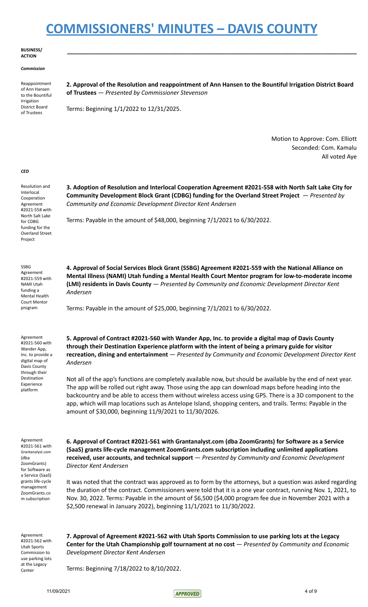### **BUSINESS/ ACTION**

### *Commission*

| Reappointment    |
|------------------|
| of Ann Hansen    |
| to the Bountiful |
| Irrigation       |
| District Board   |
| of Trustees      |
|                  |

**2. Approval of the Resolution and reappointment of Ann Hansen to the Bountiful Irrigation District Board of Trustees** — *Presented by Commissioner Stevenson*

**\_\_\_\_\_\_\_\_\_\_\_\_\_\_\_\_\_\_\_\_\_\_\_\_\_\_\_\_\_\_\_\_\_\_\_\_\_\_\_\_\_\_\_\_\_\_\_\_\_\_\_\_\_\_\_\_\_\_\_\_\_\_\_\_\_\_\_\_\_\_\_\_\_\_\_\_\_\_\_\_\_\_\_\_\_\_\_\_**

Terms: Beginning 1/1/2022 to 12/31/2025.

Motion to Approve: Com. Elliott Seconded: Com. Kamalu All voted Aye

### *CED*

Resolution and Interlocal Cooperation Agreement #2021-558 with North Salt Lake for CDBG funding for the Overland Street Project

SSBG Agreement #2021-559 with NAMI Utah funding a Mental Health Court Mentor program

Agreement #2021-560 with Wander App, Inc. to provide a digital map of Davis County through their Destination Experience platform

**3. Adoption of Resolution and Interlocal Cooperation Agreement #2021-558 with North Salt Lake City for Community Development Block Grant (CDBG) funding for the Overland Street Project** — *Presented by Community and Economic Development Director Kent Andersen*

Terms: Payable in the amount of \$48,000, beginning 7/1/2021 to 6/30/2022.

**4. Approval of Social Services Block Grant (SSBG) Agreement #2021-559 with the National Alliance on Mental Illness (NAMI) Utah funding a Mental Health Court Mentor program for low-to-moderate income (LMI) residents in Davis County** — *Presented by Community and Economic Development Director Kent Andersen*

Terms: Payable in the amount of \$25,000, beginning 7/1/2021 to 6/30/2022.

**5. Approval of Contract #2021-560 with Wander App, Inc. to provide a digital map of Davis County through their Destination Experience platform with the intent of being a primary guide for visitor recreation, dining and entertainment** — *Presented by Community and Economic Development Director Kent Andersen*

Not all of the app's functions are completely available now, but should be available by the end of next year. The app will be rolled out right away. Those using the app can download maps before heading into the backcountry and be able to access them without wireless access using GPS. There is a 3D component to the app, which will map locations such as Antelope Island, shopping centers, and trails. Terms: Payable in the amount of \$30,000, beginning 11/9/2021 to 11/30/2026.

Agreement #2021-561 with Grantanalyst.com (dba ZoomGrants) for Software as a Service (SaaS) grants life-cycle management ZoomGrants.co

m subscription

**6. Approval of Contract #2021-561 with Grantanalyst.com (dba ZoomGrants) for Software as a Service (SaaS) grants life-cycle management ZoomGrants.com subscription including unlimited applications received, user accounts, and technical support** — *Presented by Community and Economic Development Director Kent Andersen*

It was noted that the contract was approved as to form by the attorneys, but a question was asked regarding the duration of the contract. Commissioners were told that it is a one year contract, running Nov. 1, 2021, to Nov. 30, 2022. Terms: Payable in the amount of \$6,500 (\$4,000 program fee due in November 2021 with a \$2,500 renewal in January 2022), beginning 11/1/2021 to 11/30/2022.

Agreement #2021-562 with Utah Sports Commission to use parking lots at the Legacy Center

**7. Approval of Agreement #2021-562 with Utah Sports Commission to use parking lots at the Legacy Center for the Utah Championship golf tournament at no cost** — *Presented by Community and Economic Development Director Kent Andersen*

Terms: Beginning 7/18/2022 to 8/10/2022.

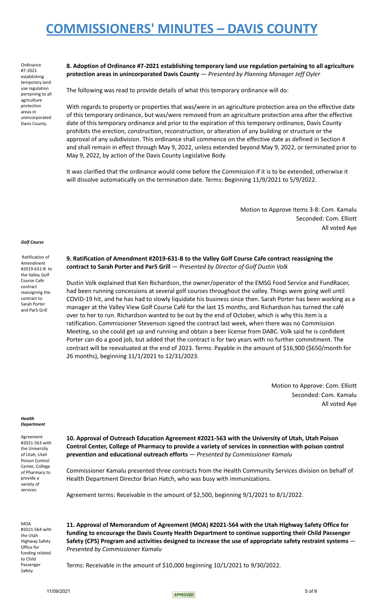**Ordinance** #7-2021 establishing temporary land use regulation pertaining to all agriculture protection areas in unincorporated Davis County.

**8. Adoption of Ordinance #7-2021 establishing temporary land use regulation pertaining to all agriculture protection areas in unincorporated Davis County** — *Presented by Planning Manager Jeff Oyler*

The following was read to provide details of what this temporary ordinance will do:

With regards to property or properties that was/were in an agriculture protection area on the effective date of this temporary ordinance, but was/were removed from an agriculture protection area after the effective date of this temporary ordinance and prior to the expiration of this temporary ordinance, Davis County prohibits the erection, construction, reconstruction, or alteration of any building or structure or the approval of any subdivision. This ordinance shall commence on the effective date as defined in Section 4 and shall remain in effect through May 9, 2022, unless extended beyond May 9, 2022, or terminated prior to May 9, 2022, by action of the Davis County Legislative Body.

It was clarified that the ordinance would come before the Commission if it is to be extended, otherwise it will dissolve automatically on the termination date. Terms: Beginning 11/9/2021 to 5/9/2022.

> Motion to Approve Items 3-8: Com. Kamalu Seconded: Com. Elliott All voted Aye

### *Golf Course*

Ratification of Amendment #2019-631-B to the Valley Golf Course Cafe contract reassigning the contract to Sarah Porter and Par5 Grill

**9. Ratification of Amendment #2019-631-B to the Valley Golf Course Cafe contract reassigning the contract to Sarah Porter and Par5 Grill** — *Presented by Director of Golf Dustin Volk*

Dustin Volk explained that Ken Richardson, the owner/operator of the EMSG Food Service and FundRacer, had been running concessions at several golf courses throughout the valley. Things were going well until COVID-19 hit, and he has had to slowly liquidate his business since then. Sarah Porter has been working as a manager at the Valley View Golf Course Café for the last 15 months, and Richardson has turned the café over to her to run. Richardson wanted to be out by the end of October, which is why this item is a ratification. Commissioner Stevenson signed the contract last week, when there was no Commission Meeting, so she could get up and running and obtain a beer license from DABC. Volk said he is confident Porter can do a good job, but added that the contract is for two years with no further commitment. The contract will be reevaluated at the end of 2023. Terms: Payable in the amount of \$16,900 (\$650/month for 26 months), beginning 11/1/2021 to 12/31/2023.

> Motion to Approve: Com. Elliott Seconded: Com. Kamalu All voted Aye

*Health Department*

Agreement #2021-563 with the University of Utah, Utah Poison Control Center, College of Pharmacy to provide a variety of services

**10. Approval of Outreach Education Agreement #2021-563 with the University of Utah, Utah Poison Control Center, College of Pharmacy to provide a variety of services in connection with poison control prevention and educational outreach efforts** — *Presented by Commissioner Kamalu*

Commissioner Kamalu presented three contracts from the Health Community Services division on behalf of Health Department Director Brian Hatch, who was busy with immunizations.

Agreement terms: Receivable in the amount of \$2,500, beginning 9/1/2021 to 8/1/2022.

**MOA** #2021-564 with the Utah Highway Safety Office for funding related to Child Passenger Safety

**11. Approval of Memorandum of Agreement (MOA) #2021-564 with the Utah Highway Safety Office for funding to encourage the Davis County Health Department to continue supporting their Child Passenger Safety (CPS) Program and activities designed to increase the use of appropriate safety restraint systems** — *Presented by Commissioner Kamalu*

Terms: Receivable in the amount of \$10,000 beginning 10/1/2021 to 9/30/2022.

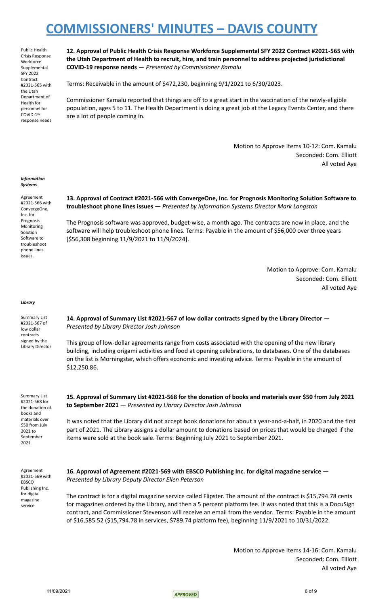Public Health Crisis Response **Workforce Supplemental** SFY 2022 Contract #2021-565 with the Utah Department of Health for personnel for COVID-19 response needs

**12. Approval of Public Health Crisis Response Workforce Supplemental SFY 2022 Contract #2021-565 with the Utah Department of Health to recruit, hire, and train personnel to address projected jurisdictional COVID-19 response needs** — *Presented by Commissioner Kamalu*

Terms: Receivable in the amount of \$472,230, beginning 9/1/2021 to 6/30/2023.

Commissioner Kamalu reported that things are off to a great start in the vaccination of the newly-eligible population, ages 5 to 11. The Health Department is doing a great job at the Legacy Events Center, and there are a lot of people coming in.

> Motion to Approve Items 10-12: Com. Kamalu Seconded: Com. Elliott All voted Aye

#### *Information Systems*

Agreement #2021-566 with ConvergeOne, Inc. for Prognosis Monitoring Solution Software to troubleshoot phone lines issues.

## **13. Approval of Contract #2021-566 with ConvergeOne, Inc. for Prognosis Monitoring Solution Software to troubleshoot phone lines issues** — *Presented by Information Systems Director Mark Langston*

The Prognosis software was approved, budget-wise, a month ago. The contracts are now in place, and the software will help troubleshoot phone lines. Terms: Payable in the amount of \$56,000 over three years [\$56,308 beginning 11/9/2021 to 11/9/2024].

> Motion to Approve: Com. Kamalu Seconded: Com. Elliott All voted Aye

### *Library*

Summary List #2021-567 of low dollar contracts signed by the Library Director **14. Approval of Summary List #2021-567 of low dollar contracts signed by the Library Director** — *Presented by Library Director Josh Johnson*

This group of low-dollar agreements range from costs associated with the opening of the new library building, including origami activities and food at opening celebrations, to databases. One of the databases on the list is Morningstar, which offers economic and investing advice. Terms: Payable in the amount of \$12,250.86.

Summary List #2021-568 for the donation of books and materials over \$50 from July 2021 to September 2021

15. Approval of Summary List #2021-568 for the donation of books and materials over \$50 from July 2021 **to September 2021** — *Presented by Library Director Josh Johnson*

It was noted that the Library did not accept book donations for about a year-and-a-half, in 2020 and the first part of 2021. The Library assigns a dollar amount to donations based on prices that would be charged if the items were sold at the book sale. Terms: Beginning July 2021 to September 2021.

Agreement #2021-569 with EBSCO Publishing Inc. for digital magazine service

**16. Approval of Agreement #2021-569 with EBSCO Publishing Inc. for digital magazine service** — *Presented by Library Deputy Director Ellen Peterson*

The contract is for a digital magazine service called Flipster. The amount of the contract is \$15,794.78 cents for magazines ordered by the Library, and then a 5 percent platform fee. It was noted that this is a DocuSign contract, and Commissioner Stevenson will receive an email from the vendor. Terms: Payable in the amount of \$16,585.52 (\$15,794.78 in services, \$789.74 platform fee), beginning 11/9/2021 to 10/31/2022.

> Motion to Approve Items 14-16: Com. Kamalu Seconded: Com. Elliott All voted Aye

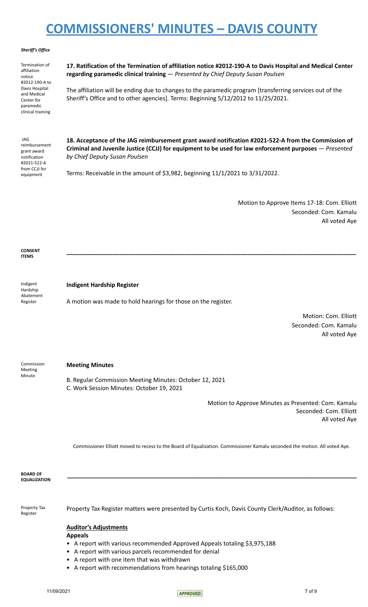### *Sheriff's Office*

Termination of affiliation notice #2012-190-A to Davis Hospital and Medical Center for paramedic clinical training

**17. Ratification of the Termination of affiliation notice #2012-190-A to Davis Hospital and Medical Center regarding paramedic clinical training** — *Presented by Chief Deputy Susan Poulsen*

The affiliation will be ending due to changes to the paramedic program [transferring services out of the Sheriff's Office and to other agencies]. Terms: Beginning 5/12/2012 to 11/25/2021.

JAG reimbursement grant award notification #2021-522-A from CCJJ for equipment

**18. Acceptance of the JAG reimbursement grant award notification #2021-522-A from the Commission of Criminal and Juvenile Justice (CCJJ) for equipment to be used for law enforcement purposes** — *Presented by Chief Deputy Susan Poulsen*

**\_\_\_\_\_\_\_\_\_\_\_\_\_\_\_\_\_\_\_\_\_\_\_\_\_\_\_\_\_\_\_\_\_\_\_\_\_\_\_\_\_\_\_\_\_\_\_\_\_\_\_\_\_\_\_\_\_\_\_\_\_\_\_\_\_\_\_\_\_\_\_\_\_\_\_\_\_\_\_\_\_\_\_\_\_\_\_\_**

Terms: Receivable in the amount of \$3,982, beginning 11/1/2021 to 3/31/2022.

Motion to Approve Items 17-18: Com. Elliott Seconded: Com. Kamalu All voted Aye

**CONSENT ITEMS**

**Indigent Hardship Register**

Hardship Abatement Register

Indigent

A motion was made to hold hearings for those on the register.

Motion: Com. Elliott Seconded: Com. Kamalu All voted Aye

Commission Meeting Minute

# **Meeting Minutes**

B. Regular Commission Meeting Minutes: October 12, 2021

C. Work Session Minutes: October 19, 2021

Motion to Approve Minutes as Presented: Com. Kamalu Seconded: Com. Elliott All voted Aye

Commissioner Elliott moved to recess to the Board of Equalization. Commissioner Kamalu seconded the motion. All voted Aye.

**\_\_\_\_\_\_\_\_\_\_\_\_\_\_\_\_\_\_\_\_\_\_\_\_\_\_\_\_\_\_\_\_\_\_\_\_\_\_\_\_\_\_\_\_\_\_\_\_\_\_\_\_\_\_\_\_\_\_\_\_\_\_\_\_\_\_\_\_\_\_\_\_\_\_\_\_\_\_\_\_\_\_\_\_\_\_\_\_**

**BOARD OF EQUALIZATION**

Property Tax Register

Property Tax Register matters were presented by Curtis Koch, Davis County Clerk/Auditor, as follows:

# **Auditor's Adjustments**

**Appeals**

- A report with various recommended Approved Appeals totaling \$3,975,188
- A report with various parcels recommended for denial
- A report with one item that was withdrawn
- A report with recommendations from hearings totaling \$165,000

 $11/09/2021$   $7$  of 9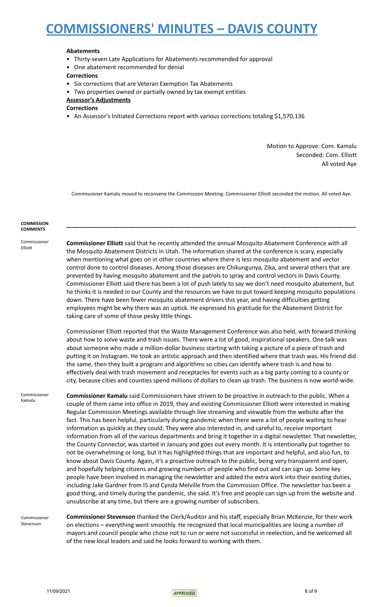## **Abatements**

- Thirty-seven Late Applications for Abatements recommended for approval
- One abatement recommended for denial

## **Corrections**

- Six corrections that are Veteran Exemption Tax Abatements
- Two properties owned or partially owned by tax exempt entities

### **Assessor's Adjustments**

**Corrections**

• An Assessor's Initiated Corrections report with various corrections totaling \$1,570,136

Motion to Approve: Com. Kamalu Seconded: Com. Elliott All voted Aye

Commissioner Kamalu moved to reconvene the Commission Meeting. Commissioner Elliott seconded the motion. All voted Aye.

**\_\_\_\_\_\_\_\_\_\_\_\_\_\_\_\_\_\_\_\_\_\_\_\_\_\_\_\_\_\_\_\_\_\_\_\_\_\_\_\_\_\_\_\_\_\_\_\_\_\_\_\_\_\_\_\_\_\_\_\_\_\_\_\_\_\_\_\_\_\_\_\_\_\_\_\_\_\_\_\_\_\_\_\_\_\_\_\_**

### **COMMISSION COMMENTS**

#### Commissioner Elliott

**Commissioner Elliott** said that he recently attended the annual Mosquito Abatement Conference with all the Mosquito Abatement Districts in Utah. The information shared at the conference is scary, especially when mentioning what goes on in other countries where there is less mosquito abatement and vector control done to control diseases. Among those diseases are Chikungunya, Zika, and several others that are prevented by having mosquito abatement and the patrols to spray and control vectors in Davis County. Commissioner Elliott said there has been a lot of push lately to say we don't need mosquito abatement, but he thinks it is needed in our County and the resources we have to put toward keeping mosquito populations down. There have been fewer mosquito abatement drivers this year, and having difficulties getting employees might be why there was an uptick. He expressed his gratitude for the Abatement District for taking care of some of those pesky little things.

Commissioner Elliott reported that the Waste Management Conference was also held, with forward thinking about how to solve waste and trash issues. There were a lot of good, inspirational speakers. One talk was about someone who made a million-dollar business starting with taking a picture of a piece of trash and putting it on Instagram. He took an artistic approach and then identified where that trash was. His friend did the same, then they built a program and algorithms so cities can identify where trash is and how to effectively deal with trash movement and receptacles for events such as a big party coming to a county or city, because cities and counties spend millions of dollars to clean up trash. The business is now world-wide.

**Commissioner** Kamalu

**Commissioner Kamalu** said Commissioners have striven to be proactive in outreach to the public. When a couple of them came into office in 2019, they and existing Commissioner Elliott were interested in making Regular Commission Meetings available through live streaming and viewable from the website after the fact. This has been helpful, particularly during pandemic when there were a lot of people waiting to hear information as quickly as they could. They were also interested in, and careful to, receive important information from all of the various departments and bring it together in a digital newsletter. That newsletter, the County Connector, was started in January and goes out every month. It is intentionally put together to not be overwhelming or long, but it has highlighted things that are important and helpful, and also fun, to know about Davis County. Again, it's a proactive outreach to the public, being very transparent and open, and hopefully helping citizens and growing numbers of people who find out and can sign up. Some key people have been involved in managing the newsletter and added the extra work into their existing duties, including Jake Gardner from IS and Cynda Melville from the Commission Office. The newsletter has been a good thing, and timely during the pandemic, she said. It's free and people can sign up from the website and unsubscribe at any time, but there are a growing number of subscribers.

Commissioner Stevenson

**Commissioner Stevenson** thanked the Clerk/Auditor and his staff, especially Brian McKenzie, for their work on elections – everything went smoothly. He recognized that local municipalities are losing a number of mayors and council people who chose not to run or were not successful in reelection, and he welcomed all of the new local leaders and said he looks forward to working with them.